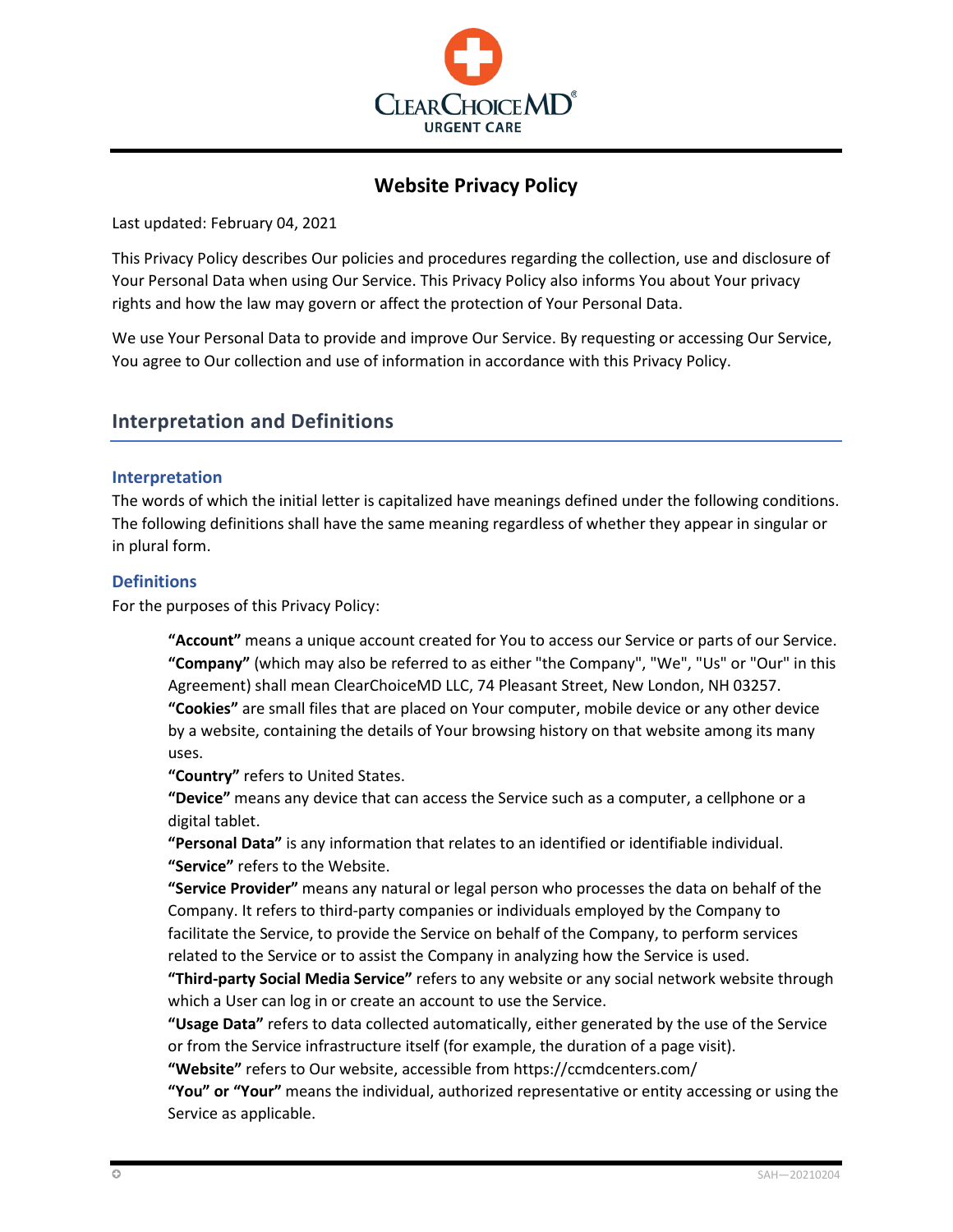

# **Website Privacy Policy**

Last updated: February 04, 2021

This Privacy Policy describes Our policies and procedures regarding the collection, use and disclosure of Your Personal Data when using Our Service. This Privacy Policy also informs You about Your privacy rights and how the law may govern or affect the protection of Your Personal Data.

We use Your Personal Data to provide and improve Our Service. By requesting or accessing Our Service, You agree to Our collection and use of information in accordance with this Privacy Policy.

## **Interpretation and Definitions**

## **Interpretation**

The words of which the initial letter is capitalized have meanings defined under the following conditions. The following definitions shall have the same meaning regardless of whether they appear in singular or in plural form.

## **Definitions**

For the purposes of this Privacy Policy:

**"Account"** means a unique account created for You to access our Service or parts of our Service. **"Company"** (which may also be referred to as either "the Company", "We", "Us" or "Our" in this Agreement) shall mean ClearChoiceMD LLC, 74 Pleasant Street, New London, NH 03257. **"Cookies"** are small files that are placed on Your computer, mobile device or any other device by a website, containing the details of Your browsing history on that website among its many uses.

**"Country"** refers to United States.

**"Device"** means any device that can access the Service such as a computer, a cellphone or a digital tablet.

**"Personal Data"** is any information that relates to an identified or identifiable individual. **"Service"** refers to the Website.

**"Service Provider"** means any natural or legal person who processes the data on behalf of the Company. It refers to third-party companies or individuals employed by the Company to facilitate the Service, to provide the Service on behalf of the Company, to perform services related to the Service or to assist the Company in analyzing how the Service is used.

**"Third-party Social Media Service"** refers to any website or any social network website through which a User can log in or create an account to use the Service.

**"Usage Data"** refers to data collected automatically, either generated by the use of the Service or from the Service infrastructure itself (for example, the duration of a page visit).

**"Website"** refers to Our website, accessible from<https://ccmdcenters.com/>

**"You" or "Your"** means the individual, authorized representative or entity accessing or using the Service as applicable.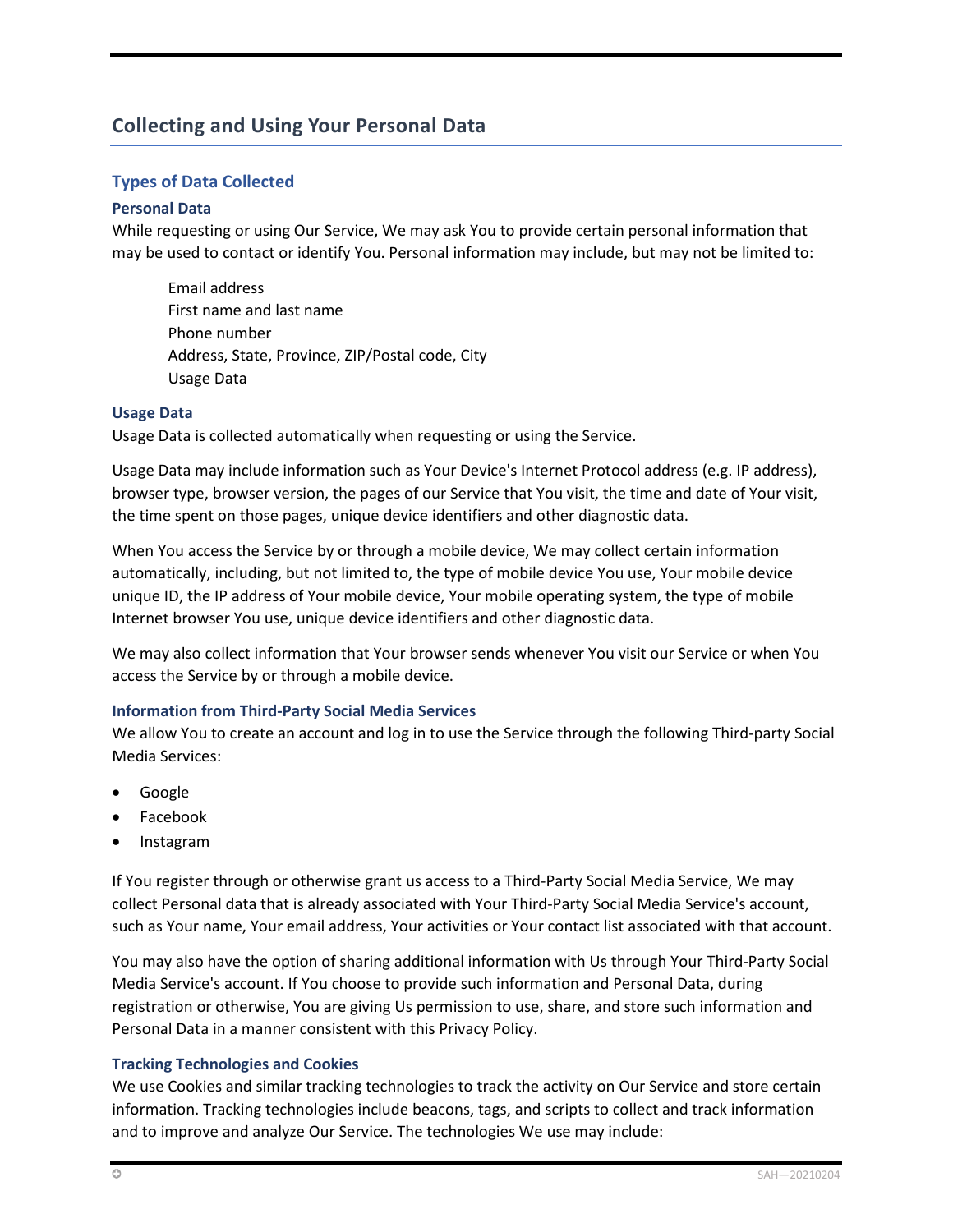# **Collecting and Using Your Personal Data**

## **Types of Data Collected**

## **Personal Data**

While requesting or using Our Service, We may ask You to provide certain personal information that may be used to contact or identify You. Personal information may include, but may not be limited to:

Email address First name and last name Phone number Address, State, Province, ZIP/Postal code, City Usage Data

#### **Usage Data**

Usage Data is collected automatically when requesting or using the Service.

Usage Data may include information such as Your Device's Internet Protocol address (e.g. IP address), browser type, browser version, the pages of our Service that You visit, the time and date of Your visit, the time spent on those pages, unique device identifiers and other diagnostic data.

When You access the Service by or through a mobile device, We may collect certain information automatically, including, but not limited to, the type of mobile device You use, Your mobile device unique ID, the IP address of Your mobile device, Your mobile operating system, the type of mobile Internet browser You use, unique device identifiers and other diagnostic data.

We may also collect information that Your browser sends whenever You visit our Service or when You access the Service by or through a mobile device.

## **Information from Third-Party Social Media Services**

We allow You to create an account and log in to use the Service through the following Third-party Social Media Services:

- Google
- Facebook
- Instagram

If You register through or otherwise grant us access to a Third-Party Social Media Service, We may collect Personal data that is already associated with Your Third-Party Social Media Service's account, such as Your name, Your email address, Your activities or Your contact list associated with that account.

You may also have the option of sharing additional information with Us through Your Third-Party Social Media Service's account. If You choose to provide such information and Personal Data, during registration or otherwise, You are giving Us permission to use, share, and store such information and Personal Data in a manner consistent with this Privacy Policy.

## **Tracking Technologies and Cookies**

We use Cookies and similar tracking technologies to track the activity on Our Service and store certain information. Tracking technologies include beacons, tags, and scripts to collect and track information and to improve and analyze Our Service. The technologies We use may include: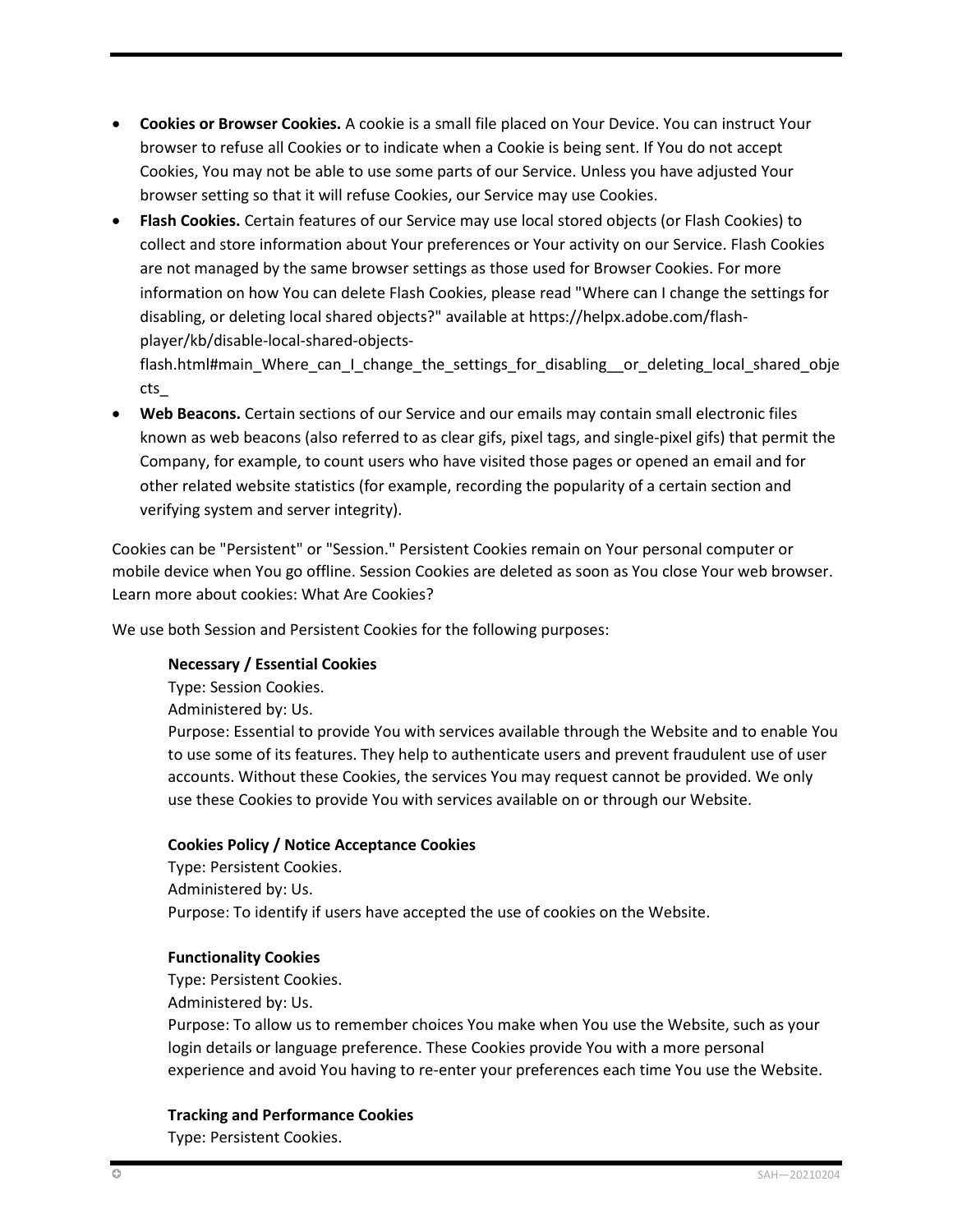- **Cookies or Browser Cookies.** A cookie is a small file placed on Your Device. You can instruct Your browser to refuse all Cookies or to indicate when a Cookie is being sent. If You do not accept Cookies, You may not be able to use some parts of our Service. Unless you have adjusted Your browser setting so that it will refuse Cookies, our Service may use Cookies.
- **Flash Cookies.** Certain features of our Service may use local stored objects (or Flash Cookies) to collect and store information about Your preferences or Your activity on our Service. Flash Cookies are not managed by the same browser settings as those used for Browser Cookies. For more information on how You can delete Flash Cookies, please read "Where can I change the settings for disabling, or deleting local shared objects?" available at [https://helpx.adobe.com/flash](https://helpx.adobe.com/flash-player/kb/disable-local-shared-objects-flash.html#main_Where_can_I_change_the_settings_for_disabling__or_deleting_local_shared_objects_)[player/kb/disable-local-shared-objects-](https://helpx.adobe.com/flash-player/kb/disable-local-shared-objects-flash.html#main_Where_can_I_change_the_settings_for_disabling__or_deleting_local_shared_objects_)

[flash.html#main\\_Where\\_can\\_I\\_change\\_the\\_settings\\_for\\_disabling\\_\\_or\\_deleting\\_local\\_shared\\_obje](https://helpx.adobe.com/flash-player/kb/disable-local-shared-objects-flash.html#main_Where_can_I_change_the_settings_for_disabling__or_deleting_local_shared_objects_) [cts\\_](https://helpx.adobe.com/flash-player/kb/disable-local-shared-objects-flash.html#main_Where_can_I_change_the_settings_for_disabling__or_deleting_local_shared_objects_)

• **Web Beacons.** Certain sections of our Service and our emails may contain small electronic files known as web beacons (also referred to as clear gifs, pixel tags, and single-pixel gifs) that permit the Company, for example, to count users who have visited those pages or opened an email and for other related website statistics (for example, recording the popularity of a certain section and verifying system and server integrity).

Cookies can be "Persistent" or "Session." Persistent Cookies remain on Your personal computer or mobile device when You go offline. Session Cookies are deleted as soon as You close Your web browser. Learn more about cookies[: What Are Cookies?](https://www.privacypolicies.com/blog/cookies/)

We use both Session and Persistent Cookies for the following purposes:

## **Necessary / Essential Cookies**

Type: Session Cookies. Administered by: Us. Purpose: Essential to provide You with services available through the Website and to enable You to use some of its features. They help to authenticate users and prevent fraudulent use of user accounts. Without these Cookies, the services You may request cannot be provided. We only use these Cookies to provide You with services available on or through our Website.

## **Cookies Policy / Notice Acceptance Cookies**

Type: Persistent Cookies. Administered by: Us. Purpose: To identify if users have accepted the use of cookies on the Website.

## **Functionality Cookies**

Type: Persistent Cookies.

Administered by: Us.

Purpose: To allow us to remember choices You make when You use the Website, such as your login details or language preference. These Cookies provide You with a more personal experience and avoid You having to re-enter your preferences each time You use the Website.

## **Tracking and Performance Cookies**

Type: Persistent Cookies.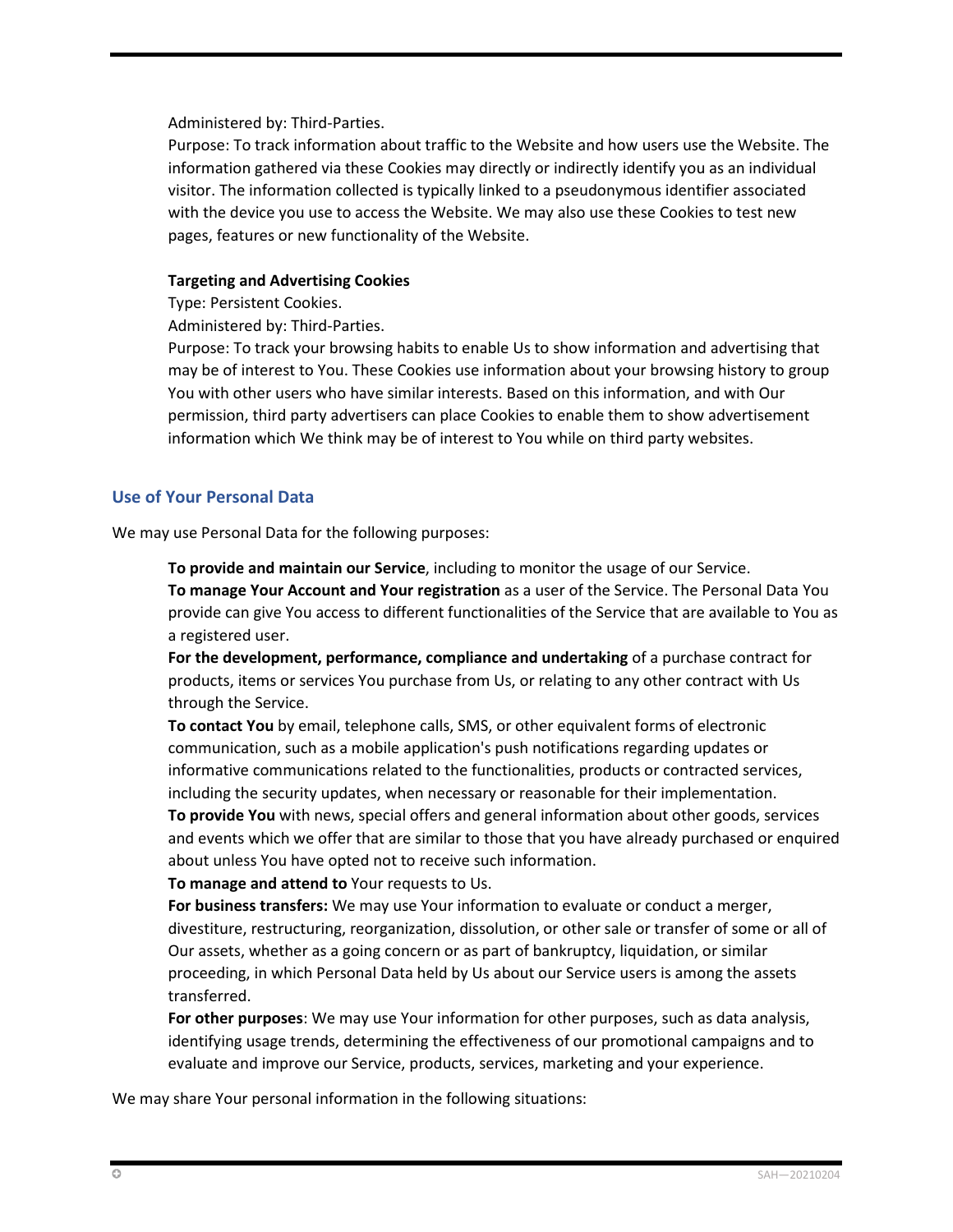Administered by: Third-Parties.

Purpose: To track information about traffic to the Website and how users use the Website. The information gathered via these Cookies may directly or indirectly identify you as an individual visitor. The information collected is typically linked to a pseudonymous identifier associated with the device you use to access the Website. We may also use these Cookies to test new pages, features or new functionality of the Website.

## **Targeting and Advertising Cookies**

Type: Persistent Cookies.

Administered by: Third-Parties.

Purpose: To track your browsing habits to enable Us to show information and advertising that may be of interest to You. These Cookies use information about your browsing history to group You with other users who have similar interests. Based on this information, and with Our permission, third party advertisers can place Cookies to enable them to show advertisement information which We think may be of interest to You while on third party websites.

## **Use of Your Personal Data**

We may use Personal Data for the following purposes:

**To provide and maintain our Service**, including to monitor the usage of our Service. **To manage Your Account and Your registration** as a user of the Service. The Personal Data You provide can give You access to different functionalities of the Service that are available to You as a registered user.

**For the development, performance, compliance and undertaking** of a purchase contract for products, items or services You purchase from Us, or relating to any other contract with Us through the Service.

**To contact You** by email, telephone calls, SMS, or other equivalent forms of electronic communication, such as a mobile application's push notifications regarding updates or informative communications related to the functionalities, products or contracted services, including the security updates, when necessary or reasonable for their implementation. **To provide You** with news, special offers and general information about other goods, services and events which we offer that are similar to those that you have already purchased or enquired about unless You have opted not to receive such information.

**To manage and attend to** Your requests to Us.

**For business transfers:** We may use Your information to evaluate or conduct a merger, divestiture, restructuring, reorganization, dissolution, or other sale or transfer of some or all of Our assets, whether as a going concern or as part of bankruptcy, liquidation, or similar proceeding, in which Personal Data held by Us about our Service users is among the assets transferred.

**For other purposes**: We may use Your information for other purposes, such as data analysis, identifying usage trends, determining the effectiveness of our promotional campaigns and to evaluate and improve our Service, products, services, marketing and your experience.

We may share Your personal information in the following situations: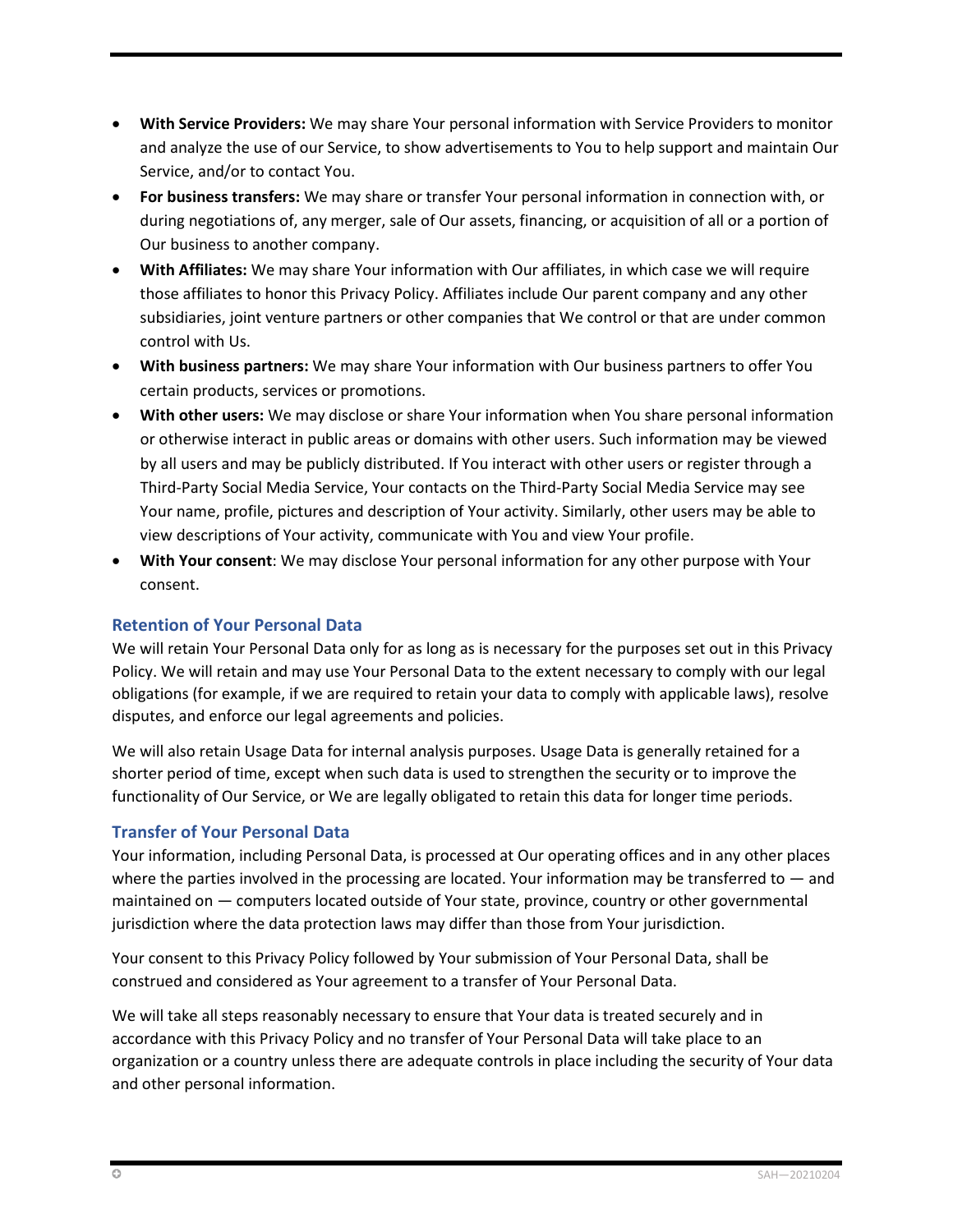- **With Service Providers:** We may share Your personal information with Service Providers to monitor and analyze the use of our Service, to show advertisements to You to help support and maintain Our Service, and/or to contact You.
- **For business transfers:** We may share or transfer Your personal information in connection with, or during negotiations of, any merger, sale of Our assets, financing, or acquisition of all or a portion of Our business to another company.
- **With Affiliates:** We may share Your information with Our affiliates, in which case we will require those affiliates to honor this Privacy Policy. Affiliates include Our parent company and any other subsidiaries, joint venture partners or other companies that We control or that are under common control with Us.
- **With business partners:** We may share Your information with Our business partners to offer You certain products, services or promotions.
- **With other users:** We may disclose or share Your information when You share personal information or otherwise interact in public areas or domains with other users. Such information may be viewed by all users and may be publicly distributed. If You interact with other users or register through a Third-Party Social Media Service, Your contacts on the Third-Party Social Media Service may see Your name, profile, pictures and description of Your activity. Similarly, other users may be able to view descriptions of Your activity, communicate with You and view Your profile.
- **With Your consent**: We may disclose Your personal information for any other purpose with Your consent.

## **Retention of Your Personal Data**

We will retain Your Personal Data only for as long as is necessary for the purposes set out in this Privacy Policy. We will retain and may use Your Personal Data to the extent necessary to comply with our legal obligations (for example, if we are required to retain your data to comply with applicable laws), resolve disputes, and enforce our legal agreements and policies.

We will also retain Usage Data for internal analysis purposes. Usage Data is generally retained for a shorter period of time, except when such data is used to strengthen the security or to improve the functionality of Our Service, or We are legally obligated to retain this data for longer time periods.

## **Transfer of Your Personal Data**

Your information, including Personal Data, is processed at Our operating offices and in any other places where the parties involved in the processing are located. Your information may be transferred to — and maintained on — computers located outside of Your state, province, country or other governmental jurisdiction where the data protection laws may differ than those from Your jurisdiction.

Your consent to this Privacy Policy followed by Your submission of Your Personal Data, shall be construed and considered as Your agreement to a transfer of Your Personal Data.

We will take all steps reasonably necessary to ensure that Your data is treated securely and in accordance with this Privacy Policy and no transfer of Your Personal Data will take place to an organization or a country unless there are adequate controls in place including the security of Your data and other personal information.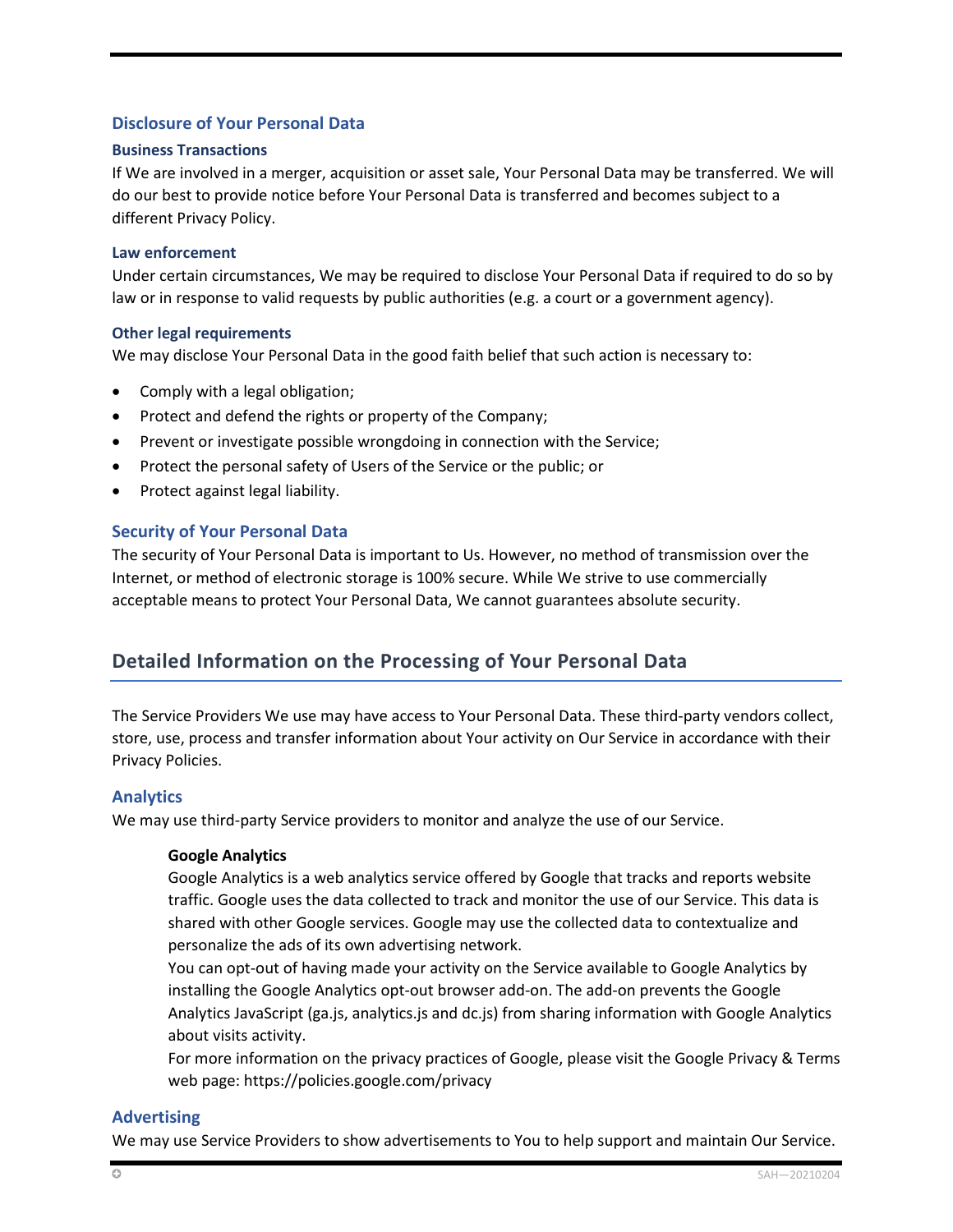## **Disclosure of Your Personal Data**

#### **Business Transactions**

If We are involved in a merger, acquisition or asset sale, Your Personal Data may be transferred. We will do our best to provide notice before Your Personal Data is transferred and becomes subject to a different Privacy Policy.

#### **Law enforcement**

Under certain circumstances, We may be required to disclose Your Personal Data if required to do so by law or in response to valid requests by public authorities (e.g. a court or a government agency).

#### **Other legal requirements**

We may disclose Your Personal Data in the good faith belief that such action is necessary to:

- Comply with a legal obligation;
- Protect and defend the rights or property of the Company;
- Prevent or investigate possible wrongdoing in connection with the Service;
- Protect the personal safety of Users of the Service or the public; or
- Protect against legal liability.

## **Security of Your Personal Data**

The security of Your Personal Data is important to Us. However, no method of transmission over the Internet, or method of electronic storage is 100% secure. While We strive to use commercially acceptable means to protect Your Personal Data, We cannot guarantees absolute security.

## **Detailed Information on the Processing of Your Personal Data**

The Service Providers We use may have access to Your Personal Data. These third-party vendors collect, store, use, process and transfer information about Your activity on Our Service in accordance with their Privacy Policies.

## **Analytics**

We may use third-party Service providers to monitor and analyze the use of our Service.

## **Google Analytics**

Google Analytics is a web analytics service offered by Google that tracks and reports website traffic. Google uses the data collected to track and monitor the use of our Service. This data is shared with other Google services. Google may use the collected data to contextualize and personalize the ads of its own advertising network.

You can opt-out of having made your activity on the Service available to Google Analytics by installing the Google Analytics opt-out browser add-on. The add-on prevents the Google Analytics JavaScript (ga.js, analytics.js and dc.js) from sharing information with Google Analytics about visits activity.

For more information on the privacy practices of Google, please visit the Google Privacy & Terms web page[: https://policies.google.com/privacy](https://policies.google.com/privacy)

## **Advertising**

We may use Service Providers to show advertisements to You to help support and maintain Our Service.